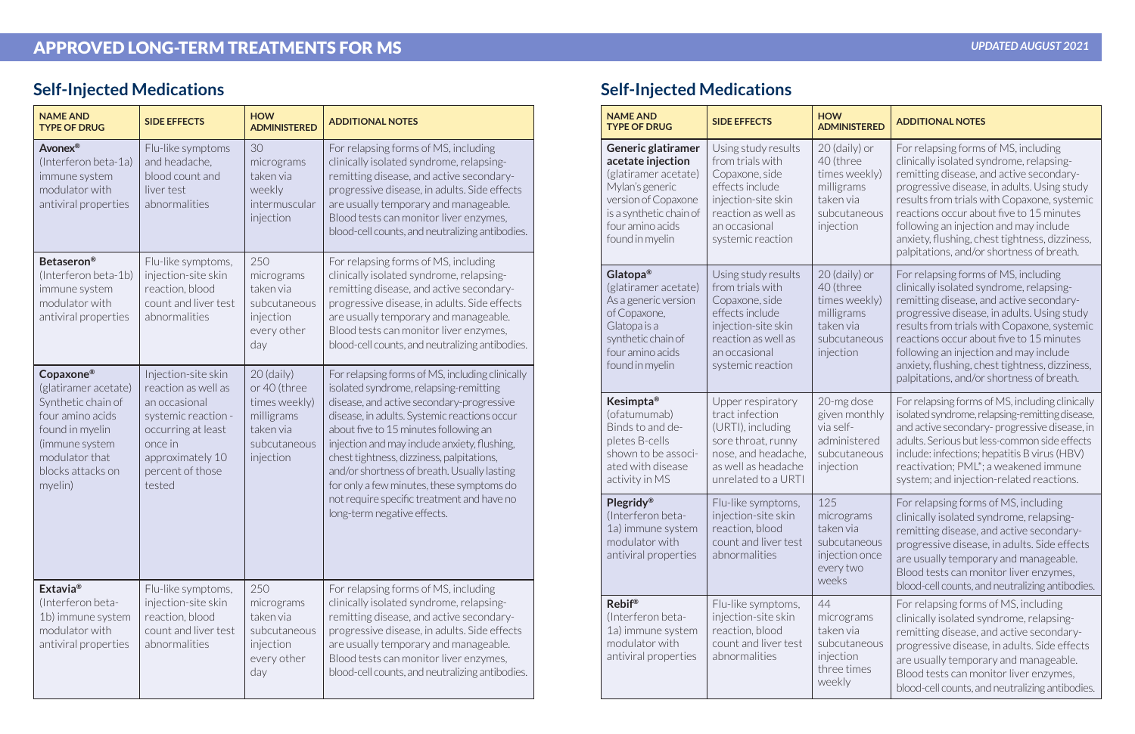| <b>NAME AND</b><br><b>TYPE OF DRUG</b>                                                                                                                             | <b>SIDE EFFECTS</b>                                                                                                                                                   | <b>HOW</b><br><b>ADMINISTERED</b>                                                                     | <b>ADDITIONAL NOTES</b>                                                                                                                                                                                                                                                                                                                                                                                                                                                                               |
|--------------------------------------------------------------------------------------------------------------------------------------------------------------------|-----------------------------------------------------------------------------------------------------------------------------------------------------------------------|-------------------------------------------------------------------------------------------------------|-------------------------------------------------------------------------------------------------------------------------------------------------------------------------------------------------------------------------------------------------------------------------------------------------------------------------------------------------------------------------------------------------------------------------------------------------------------------------------------------------------|
| Avonex®<br>(Interferon beta-1a)<br>immune system<br>modulator with<br>antiviral properties                                                                         | Flu-like symptoms<br>and headache,<br>blood count and<br>liver test<br>abnormalities                                                                                  | 30<br>micrograms<br>taken via<br>weekly<br>intermuscular<br>injection                                 | For relapsing forms of MS, including<br>clinically isolated syndrome, relapsing-<br>remitting disease, and active secondary-<br>progressive disease, in adults. Side effects<br>are usually temporary and manageable.<br>Blood tests can monitor liver enzymes,<br>blood-cell counts, and neutralizing antibodies.                                                                                                                                                                                    |
| <b>Betaseron®</b><br>(Interferon beta-1b)<br>immune system<br>modulator with<br>antiviral properties                                                               | Flu-like symptoms,<br>injection-site skin<br>reaction, blood<br>count and liver test<br>abnormalities                                                                 | 250<br>micrograms<br>taken via<br>subcutaneous<br>injection<br>every other<br>day                     | For relapsing forms of MS, including<br>clinically isolated syndrome, relapsing-<br>remitting disease, and active secondary-<br>progressive disease, in adults. Side effects<br>are usually temporary and manageable.<br>Blood tests can monitor liver enzymes,<br>blood-cell counts, and neutralizing antibodies.                                                                                                                                                                                    |
| Copaxone®<br>(glatiramer acetate)<br>Synthetic chain of<br>four amino acids<br>found in myelin<br>(immune system<br>modulator that<br>blocks attacks on<br>myelin) | Injection-site skin<br>reaction as well as<br>an occasional<br>systemic reaction -<br>occurring at least<br>once in<br>approximately 10<br>percent of those<br>tested | $20$ (daily)<br>or 40 (three<br>times weekly)<br>milligrams<br>taken via<br>subcutaneous<br>injection | For relapsing forms of MS, including clinically<br>isolated syndrome, relapsing-remitting<br>disease, and active secondary-progressive<br>disease, in adults. Systemic reactions occur<br>about five to 15 minutes following an<br>injection and may include anxiety, flushing,<br>chest tightness, dizziness, palpitations,<br>and/or shortness of breath. Usually lasting<br>for only a few minutes, these symptoms do<br>not require specific treatment and have no<br>long-term negative effects. |
| Extavia <sup>®</sup><br>(Interferon beta-<br>1b) immune system<br>modulator with<br>antiviral properties                                                           | Flu-like symptoms,<br>injection-site skin<br>reaction, blood<br>count and liver test<br>abnormalities                                                                 | 250<br>micrograms<br>taken via<br>subcutaneous<br>injection<br>every other<br>day                     | For relapsing forms of MS, including<br>clinically isolated syndrome, relapsing-<br>remitting disease, and active secondary-<br>progressive disease, in adults. Side effects<br>are usually temporary and manageable.<br>Blood tests can monitor liver enzymes,<br>blood-cell counts, and neutralizing antibodies.                                                                                                                                                                                    |

## **Self-Injected Medications Self-Injected Medications**

| <b>NAME AND</b><br><b>TYPE OF DRUG</b>                                                                                                                                             | <b>SIDE EFFECTS</b>                                                                                                                                              | <b>HOW</b><br><b>ADMINISTERED</b>                                                                   | <b>ADDITIONAL NOTES</b>                                                                                                                                                                                                                                                                                                                                                                                         |
|------------------------------------------------------------------------------------------------------------------------------------------------------------------------------------|------------------------------------------------------------------------------------------------------------------------------------------------------------------|-----------------------------------------------------------------------------------------------------|-----------------------------------------------------------------------------------------------------------------------------------------------------------------------------------------------------------------------------------------------------------------------------------------------------------------------------------------------------------------------------------------------------------------|
| <b>Generic glatiramer</b><br>acetate injection<br>(glatiramer acetate)<br>Mylan's generic<br>version of Copaxone<br>is a synthetic chain of<br>four amino acids<br>found in myelin | Using study results<br>from trials with<br>Copaxone, side<br>effects include<br>injection-site skin<br>reaction as well as<br>an occasional<br>systemic reaction | 20 (daily) or<br>40 (three<br>times weekly)<br>milligrams<br>taken via<br>subcutaneous<br>injection | For relapsing forms of MS, including<br>clinically isolated syndrome, relapsing-<br>remitting disease, and active secondary-<br>progressive disease, in adults. Using study<br>results from trials with Copaxone, systemic<br>reactions occur about five to 15 minutes<br>following an injection and may include<br>anxiety, flushing, chest tightness, dizziness,<br>palpitations, and/or shortness of breath. |
| Glatopa®<br>(glatiramer acetate)<br>As a generic version<br>of Copaxone,<br>Glatopa is a<br>synthetic chain of<br>four amino acids<br>found in myelin                              | Using study results<br>from trials with<br>Copaxone, side<br>effects include<br>injection-site skin<br>reaction as well as<br>an occasional<br>systemic reaction | 20 (daily) or<br>40 (three<br>times weekly)<br>milligrams<br>taken via<br>subcutaneous<br>injection | For relapsing forms of MS, including<br>clinically isolated syndrome, relapsing-<br>remitting disease, and active secondary-<br>progressive disease, in adults. Using study<br>results from trials with Copaxone, systemic<br>reactions occur about five to 15 minutes<br>following an injection and may include<br>anxiety, flushing, chest tightness, dizziness,<br>palpitations, and/or shortness of breath. |
| Kesimpta <sup>®</sup><br>(ofatumumab)<br>Binds to and de-<br>pletes B-cells<br>shown to be associ-<br>ated with disease<br>activity in MS                                          | Upper respiratory<br>tract infection<br>(URTI), including<br>sore throat, runny<br>nose, and headache,<br>as well as headache<br>unrelated to a URTI             | 20-mg dose<br>given monthly<br>via self-<br>administered<br>subcutaneous<br>injection               | For relapsing forms of MS, including clinically<br>isolated syndrome, relapsing-remitting disease,<br>and active secondary-progressive disease, in<br>adults. Serious but less-common side effects<br>include: infections; hepatitis B virus (HBV)<br>reactivation; PML*; a weakened immune<br>system; and injection-related reactions.                                                                         |
| <b>Plegridy®</b><br>(Interferon beta-<br>1a) immune system<br>modulator with<br>antiviral properties                                                                               | Flu-like symptoms,<br>injection-site skin<br>reaction, blood<br>count and liver test<br>abnormalities                                                            | 125<br>micrograms<br>taken via<br>subcutaneous<br>injection once<br>every two<br>weeks              | For relapsing forms of MS, including<br>clinically isolated syndrome, relapsing-<br>remitting disease, and active secondary-<br>progressive disease, in adults. Side effects<br>are usually temporary and manageable.<br>Blood tests can monitor liver enzymes,<br>blood-cell counts, and neutralizing antibodies.                                                                                              |
| <b>Rebif®</b><br>(Interferon beta-<br>1a) immune system<br>modulator with<br>antiviral properties                                                                                  | Flu-like symptoms,<br>injection-site skin<br>reaction, blood<br>count and liver test<br>abnormalities                                                            | 44<br>micrograms<br>taken via<br>subcutaneous<br>injection<br>three times<br>weekly                 | For relapsing forms of MS, including<br>clinically isolated syndrome, relapsing-<br>remitting disease, and active secondary-<br>progressive disease, in adults. Side effects<br>are usually temporary and manageable.<br>Blood tests can monitor liver enzymes,<br>blood-cell counts, and neutralizing antibodies.                                                                                              |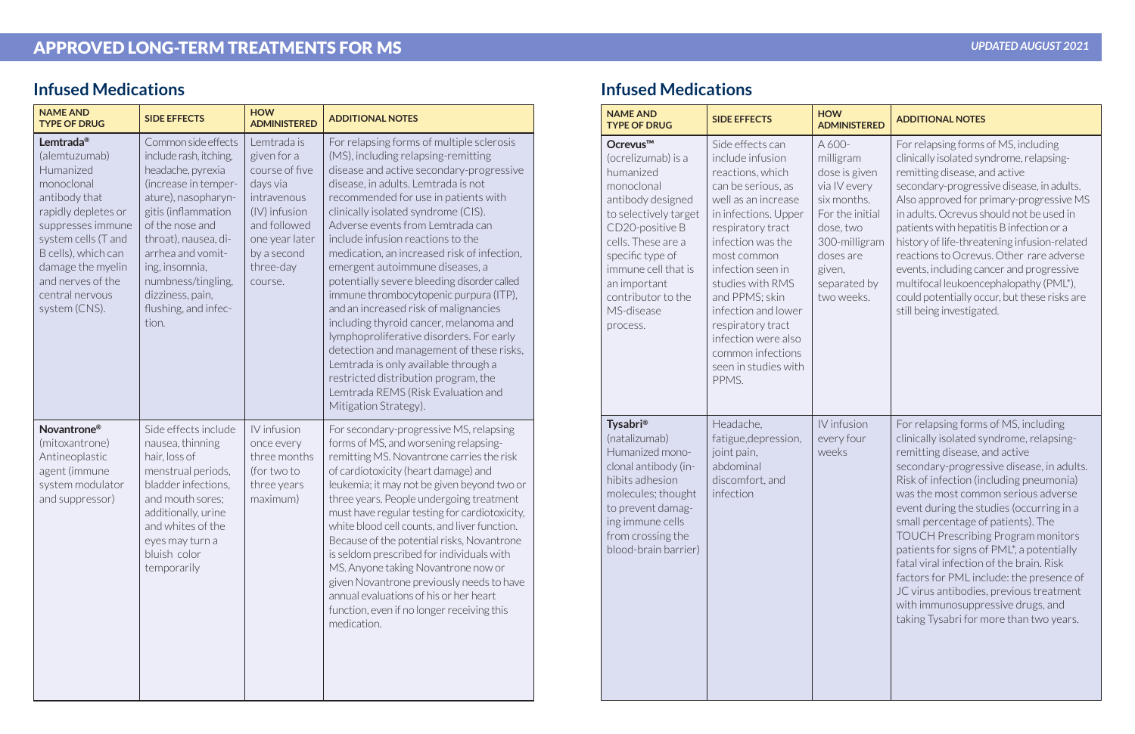# APPROVED LONG-TERM TREATMENTS FOR MS

| <b>NAME AND</b><br><b>TYPE OF DRUG</b>                                                                                                                                                                                                                     | <b>SIDE EFFECTS</b>                                                                                                                                                                                                                                                                                   | <b>HOW</b><br><b>ADMINISTERED</b>                                                                                                                                 | <b>ADDITIONAL NOTES</b>                                                                                                                                                                                                                                                                                                                                                                                                                                                                                                                                                                                                                                                                                                                                                                                                          |
|------------------------------------------------------------------------------------------------------------------------------------------------------------------------------------------------------------------------------------------------------------|-------------------------------------------------------------------------------------------------------------------------------------------------------------------------------------------------------------------------------------------------------------------------------------------------------|-------------------------------------------------------------------------------------------------------------------------------------------------------------------|----------------------------------------------------------------------------------------------------------------------------------------------------------------------------------------------------------------------------------------------------------------------------------------------------------------------------------------------------------------------------------------------------------------------------------------------------------------------------------------------------------------------------------------------------------------------------------------------------------------------------------------------------------------------------------------------------------------------------------------------------------------------------------------------------------------------------------|
| Lemtrada <sup>®</sup><br>(alemtuzumab)<br>Humanized<br>monoclonal<br>antibody that<br>rapidly depletes or<br>suppresses immune<br>system cells (T and<br>B cells), which can<br>damage the myelin<br>and nerves of the<br>central nervous<br>system (CNS). | Common side effects<br>include rash, itching,<br>headache, pyrexia<br>(increase in temper-<br>ature), nasopharyn-<br>gitis (inflammation<br>of the nose and<br>throat), nausea, di-<br>arrhea and vomit-<br>ing, insomnia,<br>numbness/tingling,<br>dizziness, pain,<br>flushing, and infec-<br>tion. | Lemtrada is<br>given for a<br>course of five<br>days via<br>intravenous<br>(IV) infusion<br>and followed<br>one year later<br>by a second<br>three-day<br>course. | For relapsing forms of multiple sclerosis<br>(MS), including relapsing-remitting<br>disease and active secondary-progressive<br>disease, in adults. Lemtrada is not<br>recommended for use in patients with<br>clinically isolated syndrome (CIS).<br>Adverse events from Lemtrada can<br>include infusion reactions to the<br>medication, an increased risk of infection,<br>emergent autoimmune diseases, a<br>potentially severe bleeding disorder called<br>immune thrombocytopenic purpura (ITP),<br>and an increased risk of malignancies<br>including thyroid cancer, melanoma and<br>lymphoproliferative disorders. For early<br>detection and management of these risks,<br>Lemtrada is only available through a<br>restricted distribution program, the<br>Lemtrada REMS (Risk Evaluation and<br>Mitigation Strategy). |
| Novantrone <sup>®</sup><br>(mitoxantrone)<br>Antineoplastic<br>agent (immune<br>system modulator<br>and suppressor)                                                                                                                                        | Side effects include<br>nausea, thinning<br>hair, loss of<br>menstrual periods,<br>bladder infections,<br>and mouth sores;<br>additionally, urine<br>and whites of the<br>eyes may turn a<br>bluish color<br>temporarily                                                                              | IV infusion<br>once every<br>three months<br>(for two to<br>three years<br>maximum)                                                                               | For secondary-progressive MS, relapsing<br>forms of MS, and worsening relapsing-<br>remitting MS. Novantrone carries the risk<br>of cardiotoxicity (heart damage) and<br>leukemia; it may not be given beyond two or<br>three years. People undergoing treatment<br>must have regular testing for cardiotoxicity,<br>white blood cell counts, and liver function.<br>Because of the potential risks, Novantrone<br>is seldom prescribed for individuals with<br>MS. Anyone taking Novantrone now or<br>given Novantrone previously needs to have<br>annual evaluations of his or her heart<br>function, even if no longer receiving this<br>medication.                                                                                                                                                                          |

| <b>NAME AND</b><br><b>TYPE OF DRUG</b>                                                                                                                                                                                                                                  | <b>SIDE EFFECTS</b>                                                                                                                                                                                                                                                                                                                                                        | <b>HOW</b><br><b>ADMINISTERED</b>                                                                                                                                         | <b>ADDITIONAL NOTES</b>                                                                                                                                                                                                                                                                                                                                                                                                                                                                                                                                                                                                                         |
|-------------------------------------------------------------------------------------------------------------------------------------------------------------------------------------------------------------------------------------------------------------------------|----------------------------------------------------------------------------------------------------------------------------------------------------------------------------------------------------------------------------------------------------------------------------------------------------------------------------------------------------------------------------|---------------------------------------------------------------------------------------------------------------------------------------------------------------------------|-------------------------------------------------------------------------------------------------------------------------------------------------------------------------------------------------------------------------------------------------------------------------------------------------------------------------------------------------------------------------------------------------------------------------------------------------------------------------------------------------------------------------------------------------------------------------------------------------------------------------------------------------|
| Ocrevus <sup>™</sup><br>(ocrelizumab) is a<br>humanized<br>monoclonal<br>antibody designed<br>to selectively target<br>CD20-positive B<br>cells. These are a<br>specific type of<br>immune cell that is<br>an important<br>contributor to the<br>MS-disease<br>process. | Side effects can<br>include infusion<br>reactions, which<br>can be serious, as<br>well as an increase<br>in infections. Upper<br>respiratory tract<br>infection was the<br>most common<br>infection seen in<br>studies with RMS<br>and PPMS; skin<br>infection and lower<br>respiratory tract<br>infection were also<br>common infections<br>seen in studies with<br>PPMS. | A 600-<br>milligram<br>dose is given<br>via IV every<br>six months.<br>For the initial<br>dose, two<br>300-milligram<br>doses are<br>given,<br>separated by<br>two weeks. | For relapsing forms of MS, including<br>clinically isolated syndrome, relapsing-<br>remitting disease, and active<br>secondary-progressive disease, in adults.<br>Also approved for primary-progressive MS<br>in adults. Ocrevus should not be used in<br>patients with hepatitis B infection or a<br>history of life-threatening infusion-related<br>reactions to Ocrevus. Other rare adverse<br>events, including cancer and progressive<br>multifocal leukoencephalopathy (PML*),<br>could potentially occur, but these risks are<br>still being investigated.                                                                               |
| <b>Tysabri</b> <sup>®</sup><br>(natalizumab)<br>Humanized mono-<br>clonal antibody (in-<br>hibits adhesion<br>molecules; thought<br>to prevent damag-<br>ing immune cells<br>from crossing the<br>blood-brain barrier)                                                  | Headache,<br>fatigue, depression,<br>joint pain,<br>abdominal<br>discomfort, and<br>infection                                                                                                                                                                                                                                                                              | IV infusion<br>every four<br>weeks                                                                                                                                        | For relapsing forms of MS, including<br>clinically isolated syndrome, relapsing-<br>remitting disease, and active<br>secondary-progressive disease, in adults.<br>Risk of infection (including pneumonia)<br>was the most common serious adverse<br>event during the studies (occurring in a<br>small percentage of patients). The<br><b>TOUCH Prescribing Program monitors</b><br>patients for signs of PML*, a potentially<br>fatal viral infection of the brain. Risk<br>factors for PML include: the presence of<br>JC virus antibodies, previous treatment<br>with immunosuppressive drugs, and<br>taking Tysabri for more than two years. |

### **Infused Medications Infused Medications**

#### *UPDATED AUGUST 2021*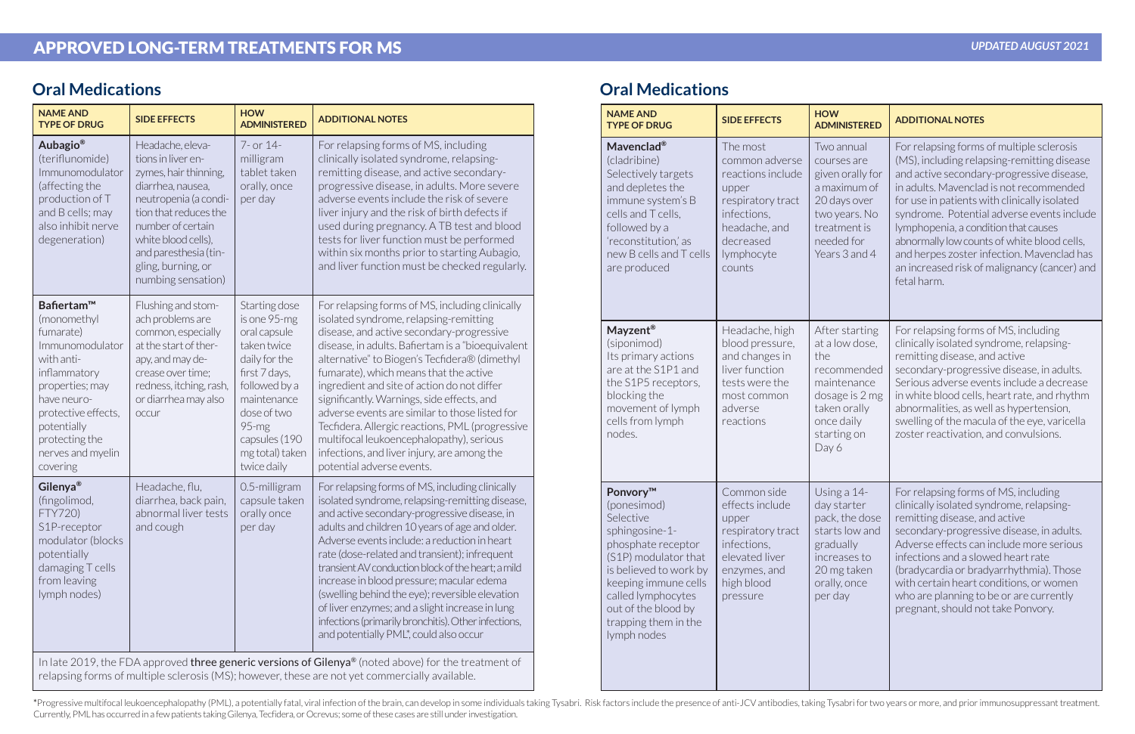## APPROVED LONG-TERM TREATMENTS FOR MS

| <b>NAME AND</b><br><b>TYPE OF DRUG</b>                                                                                                                                                                             | <b>SIDE EFFECTS</b>                                                                                                                                                                                                                                     | <b>HOW</b><br><b>ADMINISTERED</b>                                                                                                                                                                         | <b>ADDITIONAL NOTES</b>                                                                                                                                                                                                                                                                                                                                                                                                                                                                                                                                                                                                       |
|--------------------------------------------------------------------------------------------------------------------------------------------------------------------------------------------------------------------|---------------------------------------------------------------------------------------------------------------------------------------------------------------------------------------------------------------------------------------------------------|-----------------------------------------------------------------------------------------------------------------------------------------------------------------------------------------------------------|-------------------------------------------------------------------------------------------------------------------------------------------------------------------------------------------------------------------------------------------------------------------------------------------------------------------------------------------------------------------------------------------------------------------------------------------------------------------------------------------------------------------------------------------------------------------------------------------------------------------------------|
| Aubagio <sup>®</sup><br>(teriflunomide)<br>Immunomodulator<br>(affecting the<br>production of T<br>and B cells; may<br>also inhibit nerve<br>degeneration)                                                         | Headache, eleva-<br>tions in liver en-<br>zymes, hair thinning,<br>diarrhea, nausea,<br>neutropenia (a condi-<br>tion that reduces the<br>number of certain<br>white blood cells),<br>and paresthesia (tin-<br>gling, burning, or<br>numbing sensation) | 7- or 14-<br>milligram<br>tablet taken<br>orally, once<br>per day                                                                                                                                         | For relapsing forms of MS, including<br>clinically isolated syndrome, relapsing-<br>remitting disease, and active secondary-<br>progressive disease, in adults. More severe<br>adverse events include the risk of severe<br>liver injury and the risk of birth defects if<br>used during pregnancy. A TB test and blood<br>tests for liver function must be performed<br>within six months prior to starting Aubagio,<br>and liver function must be checked regularly.                                                                                                                                                        |
| Bafiertam™<br>(monomethyl<br>fumarate)<br>Immunomodulator<br>with anti-<br>inflammatory<br>properties; may<br>have neuro-<br>protective effects,<br>potentially<br>protecting the<br>nerves and myelin<br>covering | Flushing and stom-<br>ach problems are<br>common, especially<br>at the start of ther-<br>apy, and may de-<br>crease over time;<br>redness, itching, rash,<br>or diarrhea may also<br>occur                                                              | Starting dose<br>is one 95-mg<br>oral capsule<br>taken twice<br>daily for the<br>first 7 days,<br>followed by a<br>maintenance<br>dose of two<br>95-mg<br>capsules (190<br>mg total) taken<br>twice daily | For relapsing forms of MS, including clinically<br>isolated syndrome, relapsing-remitting<br>disease, and active secondary-progressive<br>disease, in adults. Bafiertam is a "bioequivalent<br>alternative" to Biogen's Tecfidera® (dimethyl<br>fumarate), which means that the active<br>ingredient and site of action do not differ<br>significantly. Warnings, side effects, and<br>adverse events are similar to those listed for<br>Tecfidera. Allergic reactions, PML (progressive<br>multifocal leukoencephalopathy), serious<br>infections, and liver injury, are among the<br>potential adverse events.              |
| Gilenya <sup>®</sup><br>(fingolimod,<br>FTY720)<br>S1P-receptor<br>modulator (blocks<br>potentially<br>damaging T cells<br>from leaving<br>lymph nodes)                                                            | Headache, flu,<br>diarrhea, back pain,<br>abnormal liver tests<br>and cough                                                                                                                                                                             | 0.5-milligram<br>capsule taken<br>orally once<br>per day                                                                                                                                                  | For relapsing forms of MS, including clinically<br>isolated syndrome, relapsing-remitting disease,<br>and active secondary-progressive disease, in<br>adults and children 10 years of age and older.<br>Adverse events include: a reduction in heart<br>rate (dose-related and transient); infrequent<br>transient AV conduction block of the heart; a mild<br>increase in blood pressure; macular edema<br>(swelling behind the eye); reversible elevation<br>of liver enzymes; and a slight increase in lung<br>infections (primarily bronchitis). Other infections,<br>and potentially PML <sup>*</sup> , could also occur |

### **Oral Medications**

#### *UPDATED AUGUST 2021*

| <b>NAME AND</b><br><b>TYPE OF DRUG</b>                                                                                                                                                                                                     | <b>SIDE EFFECTS</b>                                                                                                                                | <b>HOW</b><br><b>ADMINISTERED</b>                                                                                                             | <b>ADDITIONAL NOTES</b>                                                                                                                                                                                                                                                                                                                                                                                                                                                            |
|--------------------------------------------------------------------------------------------------------------------------------------------------------------------------------------------------------------------------------------------|----------------------------------------------------------------------------------------------------------------------------------------------------|-----------------------------------------------------------------------------------------------------------------------------------------------|------------------------------------------------------------------------------------------------------------------------------------------------------------------------------------------------------------------------------------------------------------------------------------------------------------------------------------------------------------------------------------------------------------------------------------------------------------------------------------|
| Mavenclad <sup>®</sup><br>(cladribine)<br>Selectively targets<br>and depletes the<br>immune system's B<br>cells and T cells,<br>followed by a<br>'reconstitution,' as<br>new B cells and T cells<br>are produced                           | The most<br>common adverse<br>reactions include<br>upper<br>respiratory tract<br>infections,<br>headache, and<br>decreased<br>lymphocyte<br>counts | Two annual<br>courses are<br>given orally for<br>a maximum of<br>20 days over<br>two years. No<br>treatment is<br>needed for<br>Years 3 and 4 | For relapsing forms of multiple sclerosis<br>(MS), including relapsing-remitting disease<br>and active secondary-progressive disease,<br>in adults. Mavenclad is not recommended<br>for use in patients with clinically isolated<br>syndrome. Potential adverse events include<br>lymphopenia, a condition that causes<br>abnormally low counts of white blood cells,<br>and herpes zoster infection. Mavenclad has<br>an increased risk of malignancy (cancer) and<br>fetal harm. |
| Mayzent <sup>®</sup><br>(siponimod)<br>Its primary actions<br>are at the S1P1 and<br>the S1P5 receptors,<br>blocking the<br>movement of lymph<br>cells from lymph<br>nodes.                                                                | Headache, high<br>blood pressure,<br>and changes in<br>liver function<br>tests were the<br>most common<br>adverse<br>reactions                     | After starting<br>at a low dose,<br>the<br>recommended<br>maintenance<br>dosage is 2 mg<br>taken orally<br>once daily<br>starting on<br>Day 6 | For relapsing forms of MS, including<br>clinically isolated syndrome, relapsing-<br>remitting disease, and active<br>secondary-progressive disease, in adults.<br>Serious adverse events include a decrease<br>in white blood cells, heart rate, and rhythm<br>abnormalities, as well as hypertension,<br>swelling of the macula of the eye, varicella<br>zoster reactivation, and convulsions.                                                                                    |
| Ponvory™<br>(ponesimod)<br>Selective<br>sphingosine-1-<br>phosphate receptor<br>(S1P) modulator that<br>is believed to work by<br>keeping immune cells<br>called lymphocytes<br>out of the blood by<br>trapping them in the<br>lymph nodes | Common side<br>effects include<br>upper<br>respiratory tract<br>infections,<br>elevated liver<br>enzymes, and<br>high blood<br>pressure            | Using a 14-<br>day starter<br>pack, the dose<br>starts low and<br>gradually<br>increases to<br>20 mg taken<br>orally, once<br>per day         | For relapsing forms of MS, including<br>clinically isolated syndrome, relapsing-<br>remitting disease, and active<br>secondary-progressive disease, in adults.<br>Adverse effects can include more serious<br>infections and a slowed heart rate<br>(bradycardia or bradyarrhythmia). Those<br>with certain heart conditions, or women<br>who are planning to be or are currently<br>pregnant, should not take Ponvory.                                                            |

\*Progressive multifocal leukoencephalopathy (PML), a potentially fatal, viral infection of the brain, can develop in some individuals taking Tysabri. Risk factors include the presence of anti-JCV antibodies, taking Tysabri Currently, PML has occurred in a few patients taking Gilenya, Tecfidera, or Ocrevus; some of these cases are still under investigation.

#### **Oral Medications**